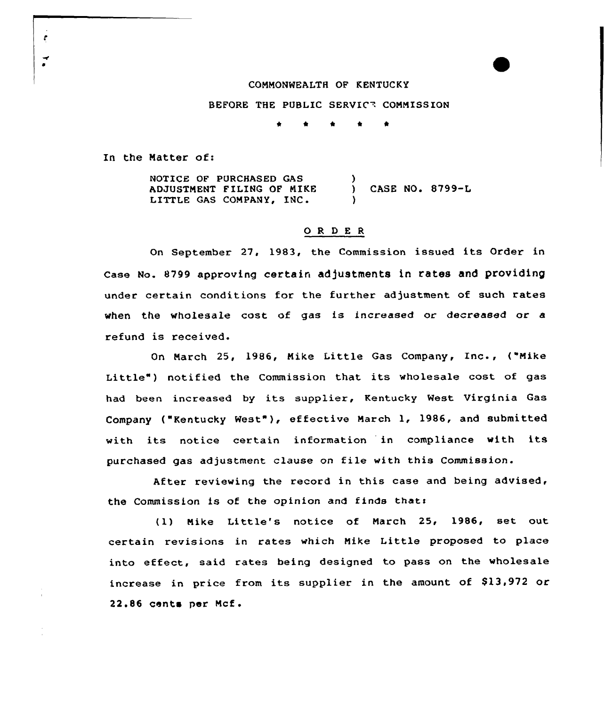## COMMONWEALTH OF KENTUCKY

BEFORE THE PUBLIC SERVICE COMMISSION

\* \* \* \*

In the Natter of:

 $\pmb{\epsilon}$ 

 $\vec{r}$ 

NOTICE OF PURCHASED GAS ADJUSTNENT FILING OF NIKE LITTLE GAS COMPANY, INC. ) ) CASE NO. 8799-L )

## ORDER

On September 27, 1983, the Commission issued its Order in Case No. 8799 approving certain adjustments in rates and providing under certain conditions for the further adjustment of such rates when the wholesale cost of gas is increased or decreased or a refund is received.

On Narch 25, 1986, Nike Little Qas Company, Inc., ("Nike Little") notified the Commission that its wholesale cost of gas had been increased by its supplier, Kentucky West Virginia Gas Company ("Kentucky Nest" ), effective Narch 1, 1986, and submitted with its notice certain information in compliance with its purchased gas adjustment clause on file with this Commission.

After reviewing the record in this case and being advised, the Commission is of the opinion and finds thats

(1) Nike Little's notice of Narch 25< 1986, set out certain revisions in rates which Nike Little proposed to place into effect, said rates being designed to pass on the wholesale increase in price from its supplier in the amount of \$13,972 or 22.86 cents per Ncf .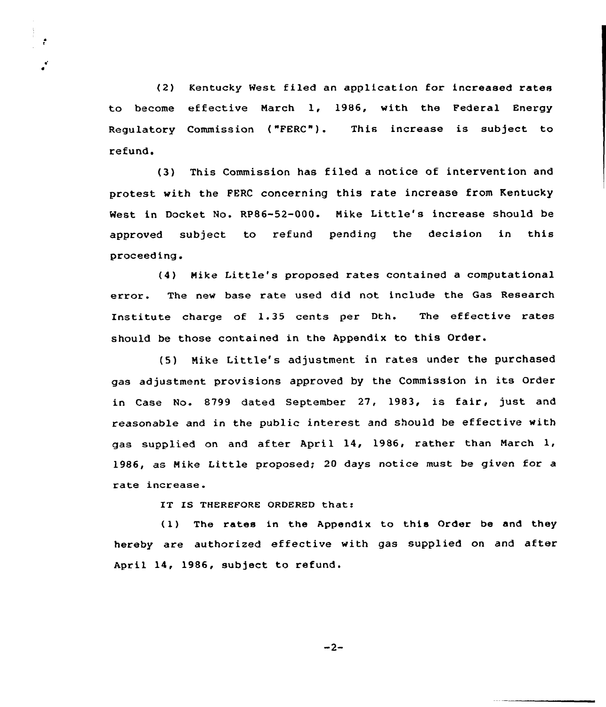(2) Kentucky West filed an application for increased rates to become effective Narch 1, 1986, with the Federal Energy Regulatory Commission ("FERC"). This increase is subject to refund.

 $\mathbf{f}$ 

 $\mathbf{r}$ 

(3) This Commission has filed a notice of intervention and protest with the PERC concerning this rate increase from Rentucky West in Docket No. RP86-52-000. Nike Little's increase should be approved subject to refund pending the decision in this proceeding.

(4) Nike Little's proposed rates contained <sup>a</sup> computational error. The new base rate used did not include the Gas Research Institute charge of 1.35 cents per Dth. The effective rates should be those contained in the Appendix to this Order.

(5) Nike Little's adjustment in rates under the purchased gas adjustment provisions approved by the Commission in its Order in Case No. 8799 dated September 27, 1983, is fair, just and reasonable and in the public interest and should be effective with gas supplied on and after April 14, 1986, rather than Narch 1, 1986, as Nike Little proposed; 20 days notice must be given for a rate increase.

IT IS THEREFORE ORDERED that:

( 1) The rates in the Appendix to this Order be and they hereby are authorized effective with gas supplied on and after April 14, 1986, subject to refund.

 $-2-$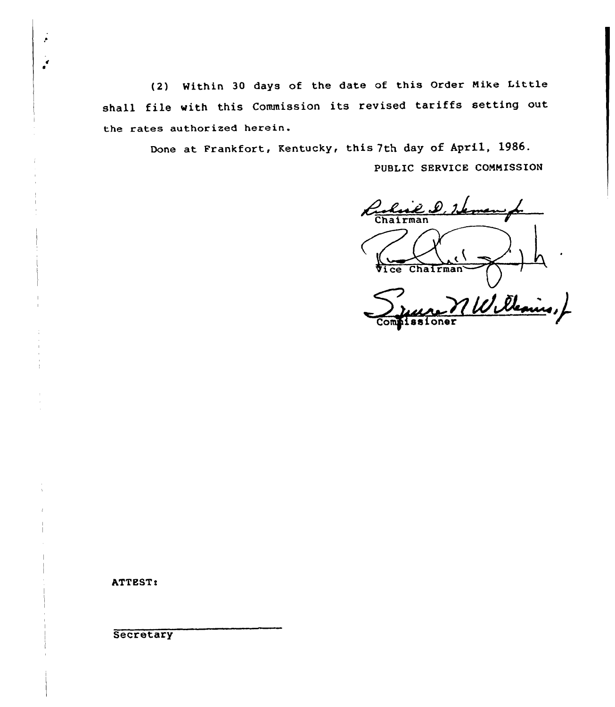(2) Mithin <sup>30</sup> days of the date of this Order Nike Little shall file with this Commission its revised tariffs setting out the rates authorized herein.

Done at Frankfort, Kentucky, this 7th day of April, 1986.

PUBLIC SERVICE COMMISSION

Robert D. Heman Vice Chairman Successioner Williams,

ATTEST:

Ļ.

**Secretary**